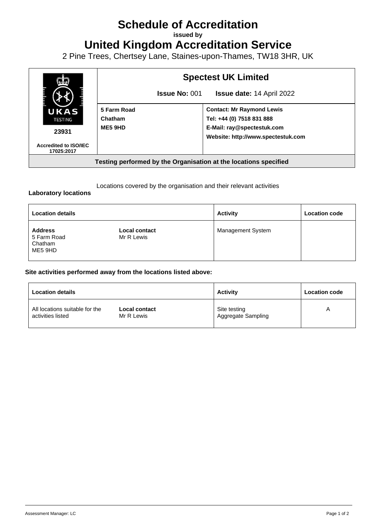## **Schedule of Accreditation**

**issued by**

**United Kingdom Accreditation Service**

2 Pine Trees, Chertsey Lane, Staines-upon-Thames, TW18 3HR, UK



Locations covered by the organisation and their relevant activities

## **Laboratory locations**

| <b>Location details</b>                             |                                    | <b>Activity</b>          | <b>Location code</b> |
|-----------------------------------------------------|------------------------------------|--------------------------|----------------------|
| <b>Address</b><br>5 Farm Road<br>Chatham<br>ME5 9HD | <b>Local contact</b><br>Mr R Lewis | <b>Management System</b> |                      |

## **Site activities performed away from the locations listed above:**

| <b>Location details</b>        |               | <b>Activity</b>    | <b>Location code</b> |
|--------------------------------|---------------|--------------------|----------------------|
| All locations suitable for the | Local contact | Site testing       | A                    |
| activities listed              | Mr R Lewis    | Aggregate Sampling |                      |